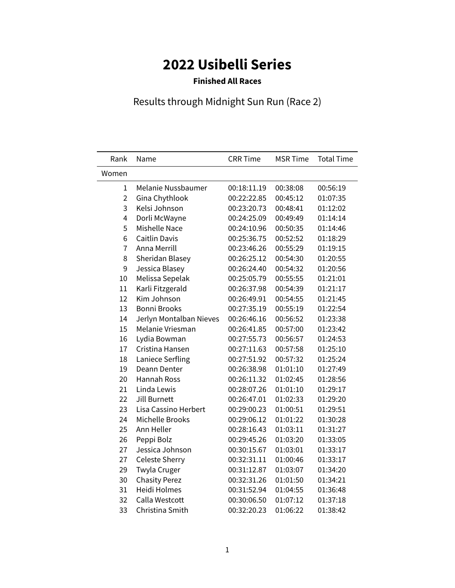## **2022 Usibelli Series**

## **Finished All Races**

## Results through Midnight Sun Run (Race 2)

| Rank           | Name                    | <b>CRR Time</b> | <b>MSR Time</b> | <b>Total Time</b> |
|----------------|-------------------------|-----------------|-----------------|-------------------|
| Women          |                         |                 |                 |                   |
| 1              | Melanie Nussbaumer      | 00:18:11.19     | 00:38:08        | 00:56:19          |
| $\overline{2}$ | Gina Chythlook          | 00:22:22.85     | 00:45:12        | 01:07:35          |
| 3              | Kelsi Johnson           | 00:23:20.73     | 00:48:41        | 01:12:02          |
| 4              | Dorli McWayne           | 00:24:25.09     | 00:49:49        | 01:14:14          |
| 5              | <b>Mishelle Nace</b>    | 00:24:10.96     | 00:50:35        | 01:14:46          |
| 6              | <b>Caitlin Davis</b>    | 00:25:36.75     | 00:52:52        | 01:18:29          |
| $\overline{7}$ | Anna Merrill            | 00:23:46.26     | 00:55:29        | 01:19:15          |
| 8              | Sheridan Blasey         | 00:26:25.12     | 00:54:30        | 01:20:55          |
| 9              | Jessica Blasey          | 00:26:24.40     | 00:54:32        | 01:20:56          |
| 10             | Melissa Sepelak         | 00:25:05.79     | 00:55:55        | 01:21:01          |
| 11             | Karli Fitzgerald        | 00:26:37.98     | 00:54:39        | 01:21:17          |
| 12             | Kim Johnson             | 00:26:49.91     | 00:54:55        | 01:21:45          |
| 13             | <b>Bonni Brooks</b>     | 00:27:35.19     | 00:55:19        | 01:22:54          |
| 14             | Jerlyn Montalban Nieves | 00:26:46.16     | 00:56:52        | 01:23:38          |
| 15             | Melanie Vriesman        | 00:26:41.85     | 00:57:00        | 01:23:42          |
| 16             | Lydia Bowman            | 00:27:55.73     | 00:56:57        | 01:24:53          |
| 17             | Cristina Hansen         | 00:27:11.63     | 00:57:58        | 01:25:10          |
| 18             | Laniece Serfling        | 00:27:51.92     | 00:57:32        | 01:25:24          |
| 19             | Deann Denter            | 00:26:38.98     | 01:01:10        | 01:27:49          |
| 20             | Hannah Ross             | 00:26:11.32     | 01:02:45        | 01:28:56          |
| 21             | Linda Lewis             | 00:28:07.26     | 01:01:10        | 01:29:17          |
| 22             | Jill Burnett            | 00:26:47.01     | 01:02:33        | 01:29:20          |
| 23             | Lisa Cassino Herbert    | 00:29:00.23     | 01:00:51        | 01:29:51          |
| 24             | <b>Michelle Brooks</b>  | 00:29:06.12     | 01:01:22        | 01:30:28          |
| 25             | Ann Heller              | 00:28:16.43     | 01:03:11        | 01:31:27          |
| 26             | Peppi Bolz              | 00:29:45.26     | 01:03:20        | 01:33:05          |
| 27             | Jessica Johnson         | 00:30:15.67     | 01:03:01        | 01:33:17          |
| 27             | Celeste Sherry          | 00:32:31.11     | 01:00:46        | 01:33:17          |
| 29             | Twyla Cruger            | 00:31:12.87     | 01:03:07        | 01:34:20          |
| 30             | <b>Chasity Perez</b>    | 00:32:31.26     | 01:01:50        | 01:34:21          |
| 31             | Heidi Holmes            | 00:31:52.94     | 01:04:55        | 01:36:48          |
| 32             | Calla Westcott          | 00:30:06.50     | 01:07:12        | 01:37:18          |
| 33             | Christina Smith         | 00:32:20.23     | 01:06:22        | 01:38:42          |
|                |                         |                 |                 |                   |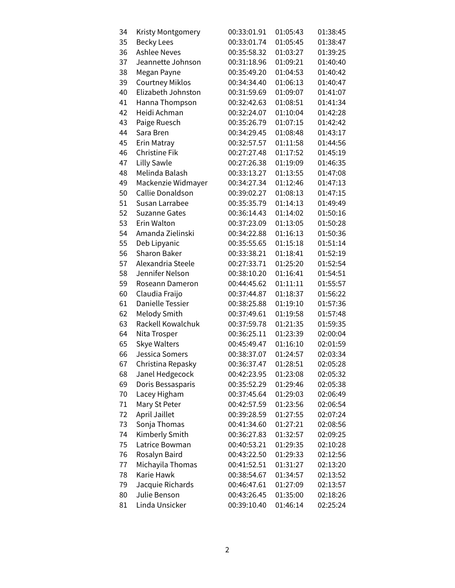| 34 | Kristy Montgomery      | 00:33:01.91 | 01:05:43 | 01:38:45 |
|----|------------------------|-------------|----------|----------|
| 35 | <b>Becky Lees</b>      | 00:33:01.74 | 01:05:45 | 01:38:47 |
| 36 | <b>Ashlee Neves</b>    | 00:35:58.32 | 01:03:27 | 01:39:25 |
| 37 | Jeannette Johnson      | 00:31:18.96 | 01:09:21 | 01:40:40 |
| 38 | Megan Payne            | 00:35:49.20 | 01:04:53 | 01:40:42 |
| 39 | <b>Courtney Miklos</b> | 00:34:34.40 | 01:06:13 | 01:40:47 |
| 40 | Elizabeth Johnston     | 00:31:59.69 | 01:09:07 | 01:41:07 |
| 41 | Hanna Thompson         | 00:32:42.63 | 01:08:51 | 01:41:34 |
| 42 | Heidi Achman           | 00:32:24.07 | 01:10:04 | 01:42:28 |
| 43 | Paige Ruesch           | 00:35:26.79 | 01:07:15 | 01:42:42 |
| 44 | Sara Bren              | 00:34:29.45 | 01:08:48 | 01:43:17 |
| 45 | Erin Matray            | 00:32:57.57 | 01:11:58 | 01:44:56 |
| 46 | <b>Christine Fik</b>   | 00:27:27.48 | 01:17:52 | 01:45:19 |
| 47 | Lilly Sawle            | 00:27:26.38 | 01:19:09 | 01:46:35 |
| 48 | Melinda Balash         | 00:33:13.27 | 01:13:55 | 01:47:08 |
| 49 | Mackenzie Widmayer     | 00:34:27.34 | 01:12:46 | 01:47:13 |
| 50 | Callie Donaldson       | 00:39:02.27 | 01:08:13 | 01:47:15 |
| 51 | Susan Larrabee         | 00:35:35.79 | 01:14:13 | 01:49:49 |
| 52 | <b>Suzanne Gates</b>   | 00:36:14.43 | 01:14:02 | 01:50:16 |
| 53 | Erin Walton            | 00:37:23.09 | 01:13:05 | 01:50:28 |
| 54 | Amanda Zielinski       | 00:34:22.88 | 01:16:13 | 01:50:36 |
| 55 | Deb Lipyanic           | 00:35:55.65 | 01:15:18 | 01:51:14 |
| 56 | <b>Sharon Baker</b>    | 00:33:38.21 | 01:18:41 | 01:52:19 |
| 57 | Alexandria Steele      | 00:27:33.71 | 01:25:20 | 01:52:54 |
| 58 | Jennifer Nelson        | 00:38:10.20 | 01:16:41 | 01:54:51 |
| 59 | Roseann Dameron        | 00:44:45.62 | 01:11:11 | 01:55:57 |
| 60 | Claudia Fraijo         | 00:37:44.87 | 01:18:37 | 01:56:22 |
| 61 | Danielle Tessier       | 00:38:25.88 | 01:19:10 | 01:57:36 |
| 62 | <b>Melody Smith</b>    | 00:37:49.61 | 01:19:58 | 01:57:48 |
| 63 | Rackell Kowalchuk      | 00:37:59.78 | 01:21:35 | 01:59:35 |
| 64 | Nita Trosper           | 00:36:25.11 | 01:23:39 | 02:00:04 |
| 65 | <b>Skye Walters</b>    | 00:45:49.47 | 01:16:10 | 02:01:59 |
| 66 | Jessica Somers         | 00:38:37.07 | 01:24:57 | 02:03:34 |
| 67 | Christina Repasky      | 00:36:37.47 | 01:28:51 | 02:05:28 |
| 68 | Janel Hedgecock        | 00:42:23.95 | 01:23:08 | 02:05:32 |
| 69 | Doris Bessasparis      | 00:35:52.29 | 01:29:46 | 02:05:38 |
| 70 | Lacey Higham           | 00:37:45.64 | 01:29:03 | 02:06:49 |
| 71 | Mary St Peter          | 00:42:57.59 | 01:23:56 | 02:06:54 |
| 72 | April Jaillet          | 00:39:28.59 | 01:27:55 | 02:07:24 |
| 73 | Sonja Thomas           | 00:41:34.60 | 01:27:21 | 02:08:56 |
| 74 | Kimberly Smith         | 00:36:27.83 | 01:32:57 | 02:09:25 |
| 75 | Latrice Bowman         | 00:40:53.21 | 01:29:35 | 02:10:28 |
| 76 | Rosalyn Baird          | 00:43:22.50 | 01:29:33 | 02:12:56 |
| 77 | Michayila Thomas       | 00:41:52.51 | 01:31:27 | 02:13:20 |
| 78 | Karie Hawk             | 00:38:54.67 | 01:34:57 | 02:13:52 |
| 79 | Jacquie Richards       | 00:46:47.61 | 01:27:09 | 02:13:57 |
| 80 | Julie Benson           | 00:43:26.45 | 01:35:00 | 02:18:26 |
| 81 | Linda Unsicker         | 00:39:10.40 | 01:46:14 | 02:25:24 |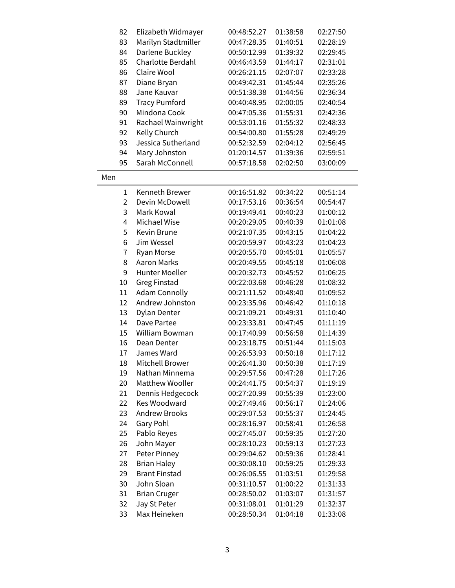| 82             | Elizabeth Widmayer     | 00:48:52.27 | 01:38:58 | 02:27:50 |
|----------------|------------------------|-------------|----------|----------|
| 83             | Marilyn Stadtmiller    | 00:47:28.35 | 01:40:51 | 02:28:19 |
| 84             | Darlene Buckley        | 00:50:12.99 | 01:39:32 | 02:29:45 |
| 85             | Charlotte Berdahl      | 00:46:43.59 | 01:44:17 | 02:31:01 |
| 86             | Claire Wool            | 00:26:21.15 | 02:07:07 | 02:33:28 |
| 87             | Diane Bryan            | 00:49:42.31 | 01:45:44 | 02:35:26 |
| 88             | Jane Kauvar            | 00:51:38.38 | 01:44:56 | 02:36:34 |
| 89             | <b>Tracy Pumford</b>   | 00:40:48.95 | 02:00:05 | 02:40:54 |
| 90             | Mindona Cook           | 00:47:05.36 | 01:55:31 | 02:42:36 |
| 91             | Rachael Wainwright     | 00:53:01.16 | 01:55:32 | 02:48:33 |
| 92             | Kelly Church           | 00:54:00.80 | 01:55:28 | 02:49:29 |
| 93             | Jessica Sutherland     | 00:52:32.59 | 02:04:12 | 02:56:45 |
| 94             | Mary Johnston          | 01:20:14.57 | 01:39:36 | 02:59:51 |
| 95             | Sarah McConnell        | 00:57:18.58 | 02:02:50 | 03:00:09 |
| Men            |                        |             |          |          |
| $\mathbf{1}$   | Kenneth Brewer         | 00:16:51.82 | 00:34:22 | 00:51:14 |
| $\overline{2}$ | Devin McDowell         | 00:17:53.16 | 00:36:54 | 00:54:47 |
| 3              | Mark Kowal             | 00:19:49.41 | 00:40:23 | 01:00:12 |
| 4              | <b>Michael Wise</b>    | 00:20:29.05 | 00:40:39 | 01:01:08 |
| 5              | Kevin Brune            | 00:21:07.35 | 00:43:15 | 01:04:22 |
| 6              | Jim Wessel             | 00:20:59.97 | 00:43:23 | 01:04:23 |
| $\overline{7}$ | Ryan Morse             | 00:20:55.70 | 00:45:01 | 01:05:57 |
| 8              | <b>Aaron Marks</b>     | 00:20:49.55 | 00:45:18 | 01:06:08 |
| 9              | Hunter Moeller         | 00:20:32.73 | 00:45:52 | 01:06:25 |
| 10             | <b>Greg Finstad</b>    | 00:22:03.68 | 00:46:28 | 01:08:32 |
| 11             | <b>Adam Connolly</b>   | 00:21:11.52 | 00:48:40 | 01:09:52 |
| 12             | Andrew Johnston        | 00:23:35.96 | 00:46:42 | 01:10:18 |
| 13             | Dylan Denter           | 00:21:09.21 | 00:49:31 | 01:10:40 |
| 14             | Dave Partee            | 00:23:33.81 | 00:47:45 | 01:11:19 |
| 15             | William Bowman         | 00:17:40.99 | 00:56:58 | 01:14:39 |
| 16             | Dean Denter            | 00:23:18.75 | 00:51:44 | 01:15:03 |
| 17             | James Ward             | 00:26:53.93 | 00:50:18 | 01:17:12 |
| 18             | Mitchell Brower        | 00:26:41.30 | 00:50:38 | 01:17:19 |
| 19             | Nathan Minnema         | 00:29:57.56 | 00:47:28 | 01:17:26 |
| 20             | <b>Matthew Wooller</b> | 00:24:41.75 | 00:54:37 | 01:19:19 |
| 21             | Dennis Hedgecock       | 00:27:20.99 | 00:55:39 | 01:23:00 |
| 22             | <b>Kes Woodward</b>    | 00:27:49.46 | 00:56:17 | 01:24:06 |
| 23             | <b>Andrew Brooks</b>   | 00:29:07.53 | 00:55:37 | 01:24:45 |
| 24             | Gary Pohl              | 00:28:16.97 | 00:58:41 | 01:26:58 |
| 25             | Pablo Reyes            | 00:27:45.07 | 00:59:35 | 01:27:20 |
| 26             | John Mayer             | 00:28:10.23 | 00:59:13 | 01:27:23 |
| 27             | Peter Pinney           | 00:29:04.62 | 00:59:36 | 01:28:41 |
| 28             | <b>Brian Haley</b>     | 00:30:08.10 | 00:59:25 | 01:29:33 |
| 29             | <b>Brant Finstad</b>   | 00:26:06.55 | 01:03:51 | 01:29:58 |
| 30             | John Sloan             | 00:31:10.57 | 01:00:22 | 01:31:33 |
| 31             | <b>Brian Cruger</b>    | 00:28:50.02 | 01:03:07 | 01:31:57 |
| 32             | Jay St Peter           | 00:31:08.01 | 01:01:29 | 01:32:37 |
| 33             | Max Heineken           | 00:28:50.34 | 01:04:18 | 01:33:08 |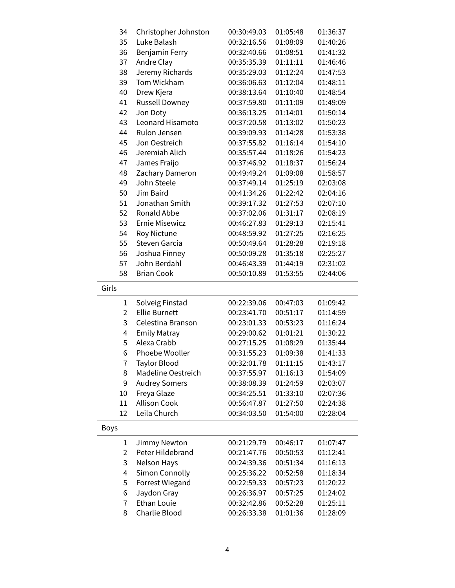| 34             | Christopher Johnston   | 00:30:49.03 | 01:05:48 | 01:36:37 |
|----------------|------------------------|-------------|----------|----------|
| 35             | Luke Balash            | 00:32:16.56 | 01:08:09 | 01:40:26 |
| 36             | <b>Benjamin Ferry</b>  | 00:32:40.66 | 01:08:51 | 01:41:32 |
| 37             | Andre Clay             | 00:35:35.39 | 01:11:11 | 01:46:46 |
| 38             | Jeremy Richards        | 00:35:29.03 | 01:12:24 | 01:47:53 |
| 39             | Tom Wickham            | 00:36:06.63 | 01:12:04 | 01:48:11 |
| 40             | Drew Kjera             | 00:38:13.64 | 01:10:40 | 01:48:54 |
| 41             | <b>Russell Downey</b>  | 00:37:59.80 | 01:11:09 | 01:49:09 |
| 42             | Jon Doty               | 00:36:13.25 | 01:14:01 | 01:50:14 |
| 43             | Leonard Hisamoto       | 00:37:20.58 | 01:13:02 | 01:50:23 |
| 44             | Rulon Jensen           | 00:39:09.93 | 01:14:28 | 01:53:38 |
| 45             | Jon Oestreich          | 00:37:55.82 | 01:16:14 | 01:54:10 |
| 46             | Jeremiah Alich         | 00:35:57.44 | 01:18:26 | 01:54:23 |
| 47             | James Fraijo           | 00:37:46.92 | 01:18:37 | 01:56:24 |
| 48             | Zachary Dameron        | 00:49:49.24 | 01:09:08 | 01:58:57 |
| 49             | John Steele            | 00:37:49.14 | 01:25:19 | 02:03:08 |
| 50             | Jim Baird              | 00:41:34.26 | 01:22:42 | 02:04:16 |
| 51             | Jonathan Smith         | 00:39:17.32 | 01:27:53 | 02:07:10 |
| 52             | Ronald Abbe            | 00:37:02.06 | 01:31:17 | 02:08:19 |
| 53             | <b>Ernie Misewicz</b>  | 00:46:27.83 | 01:29:13 | 02:15:41 |
| 54             | <b>Roy Nictune</b>     | 00:48:59.92 | 01:27:25 | 02:16:25 |
| 55             | Steven Garcia          | 00:50:49.64 | 01:28:28 | 02:19:18 |
| 56             | Joshua Finney          | 00:50:09.28 | 01:35:18 | 02:25:27 |
| 57             | John Berdahl           | 00:46:43.39 | 01:44:19 | 02:31:02 |
| 58             | <b>Brian Cook</b>      | 00:50:10.89 | 01:53:55 | 02:44:06 |
|                |                        |             |          |          |
| Girls          |                        |             |          |          |
| 1              | Solveig Finstad        | 00:22:39.06 | 00:47:03 | 01:09:42 |
| $\overline{2}$ | <b>Ellie Burnett</b>   | 00:23:41.70 | 00:51:17 | 01:14:59 |
| 3              | Celestina Branson      | 00:23:01.33 | 00:53:23 | 01:16:24 |
| 4              | <b>Emily Matray</b>    | 00:29:00.62 | 01:01:21 | 01:30:22 |
| 5              | Alexa Crabb            | 00:27:15.25 | 01:08:29 | 01:35:44 |
| 6              | Phoebe Wooller         | 00:31:55.23 | 01:09:38 | 01:41:33 |
| 7              | Taylor Blood           | 00:32:01.78 | 01:11:15 | 01:43:17 |
| 8              | Madeline Oestreich     | 00:37:55.97 | 01:16:13 | 01:54:09 |
| 9              | <b>Audrey Somers</b>   | 00:38:08.39 | 01:24:59 | 02:03:07 |
| 10             | Freya Glaze            | 00:34:25.51 | 01:33:10 | 02:07:36 |
| 11             | <b>Allison Cook</b>    | 00:56:47.87 | 01:27:50 | 02:24:38 |
| 12             | Leila Church           | 00:34:03.50 | 01:54:00 | 02:28:04 |
| <b>Boys</b>    |                        |             |          |          |
| 1              | Jimmy Newton           | 00:21:29.79 | 00:46:17 | 01:07:47 |
| $\overline{2}$ | Peter Hildebrand       | 00:21:47.76 | 00:50:53 | 01:12:41 |
| 3              | Nelson Hays            | 00:24:39.36 | 00:51:34 | 01:16:13 |
| 4              | Simon Connolly         | 00:25:36.22 | 00:52:58 | 01:18:34 |
| 5              | <b>Forrest Wiegand</b> | 00:22:59.33 | 00:57:23 | 01:20:22 |
| 6              | Jaydon Gray            | 00:26:36.97 | 00:57:25 | 01:24:02 |
| 7              | <b>Ethan Louie</b>     | 00:32:42.86 | 00:52:28 | 01:25:11 |
| 8              | Charlie Blood          | 00:26:33.38 | 01:01:36 | 01:28:09 |
|                |                        |             |          |          |